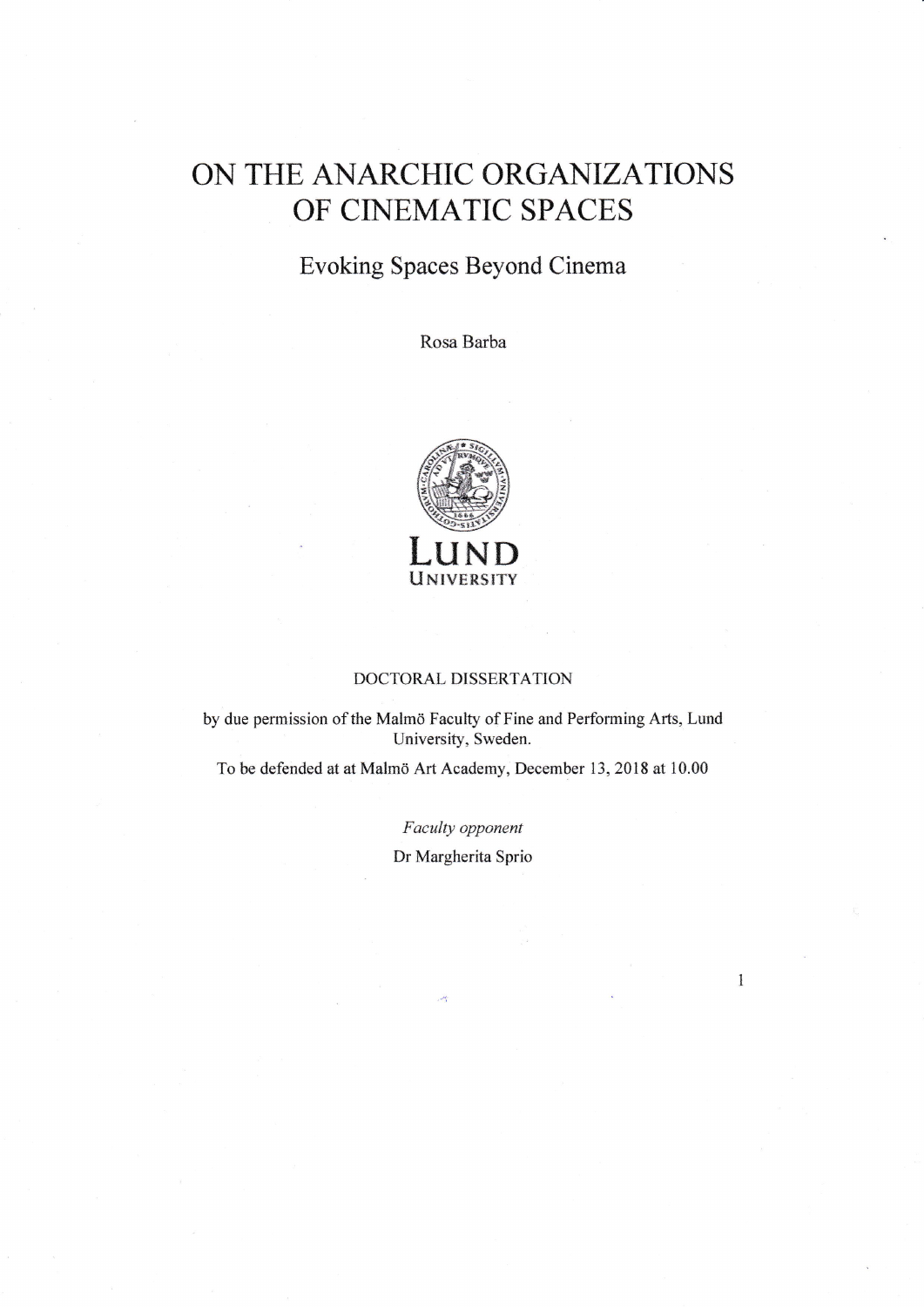## ON THE ANARCHIC ORGANIZATIONS OF CNEMATIC SPACES

## Evoking Spaces Beyond Cinema

Rosa Barba



## DOCTORAL DISSERTATION

by due permission of the Malmö Faculty of Fine and Performing Arts, Lund University, Sweden.

To be defended at at Malmö Art Academy, December 13, 2018 at 10.00

Faculty opponent Dr Margherita Sprio

 $\mathbf{1}$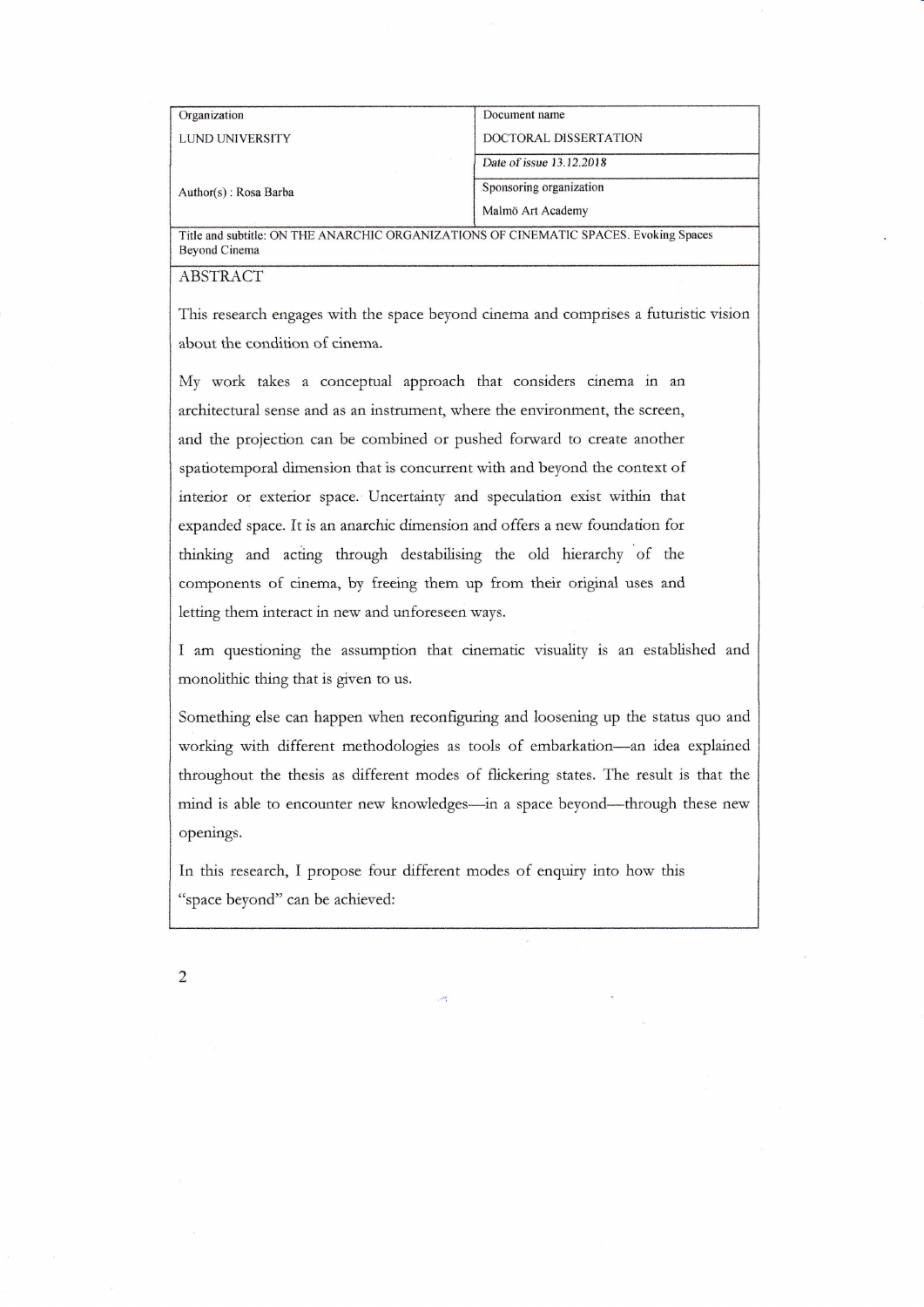| Organization          | Document name                      |  |
|-----------------------|------------------------------------|--|
|                       |                                    |  |
| LUND UNIVERSITY       | DOCTORAL DISSERTATION              |  |
| Author(s): Rosa Barba | Date of issue 13.12.2018           |  |
|                       | Sponsoring organization            |  |
|                       | Malmö Art Academy<br>$\sim$ $\sim$ |  |

Title and subtitle: ON THE ANARCHIC ORGANIZATIONS OF CINEMATIC SPACES. Evoking Spaces Beyond Cinema

## ABSTRACT

This research engages with the space beyond cinema and comprises a futuristic vision about the condition of cinema.

My work takes a conceptual approach that considers cinema in an architectural sense and as an instrument, where the environment, the screen, and the projection can be combined or pushed forward to create another spatiotemporal dimension that is concurrent with and beyond the context of interior or exterior space.'Uncertainty and specuiation exist within that expanded space. It is an anarchic dimension and offers a new foundation for thinkiag and acting through destabilising the old hierarchy of the components of cinema, by freeing them up from their original uses and letting them interact in new and unforeseen ways.

I am questioning the assumption that cinematic visuality is an established and monolithic thing that is given to us.

Something else can happen when reconfiguring and iooseaing up the status quo and working with different methodologies as tools of embarkation-an idea explained throughout the thesis as different modes of flickering states. The result is that the mind is able to encounter new knowledges-in a space beyond-through these new openiags.

In this research, I propose four differeat modes of enquiry into how this "space beyond" can be achieved:

 $\overline{2}$